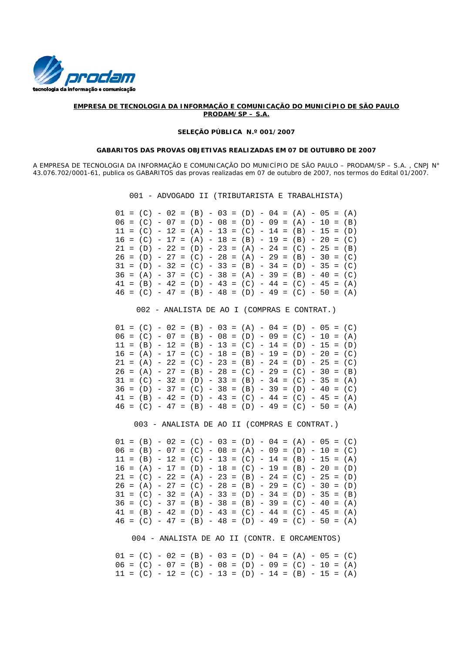

### **EMPRESA DE TECNOLOGIA DA INFORMAÇÃO E COMUNICAÇÃO DO MUNICÍPIO DE SÃO PAULO PRODAM/SP – S.A.**

#### **SELEÇÃO PÚBLICA N.º 001/2007**

#### **GABARITOS DAS PROVAS OBJETIVAS REALIZADAS EM 07 DE OUTUBRO DE 2007**

A EMPRESA DE TECNOLOGIA DA INFORMAÇÃO E COMUNICAÇÃO DO MUNICÍPIO DE SÃO PAULO – PRODAM/SP – S.A. , CNPJ N° 43.076.702/0001-61, publica os GABARITOS das provas realizadas em 07 de outubro de 2007, nos termos do Edital 01/2007.

|  |  |  |  |  | 001 - ADVOGADO II (TRIBUTARISTA E TRABALHISTA)         |  |  |  |  |
|--|--|--|--|--|--------------------------------------------------------|--|--|--|--|
|  |  |  |  |  | $01 = (C) - 02 = (B) - 03 = (D) - 04 = (A) - 05 = (A)$ |  |  |  |  |
|  |  |  |  |  | $06 = (C) - 07 = (D) - 08 = (D) - 09 = (A) - 10 = (B)$ |  |  |  |  |
|  |  |  |  |  | $11 = (C) - 12 = (A) - 13 = (C) - 14 = (B) - 15 = (D)$ |  |  |  |  |
|  |  |  |  |  | $16 = (C) - 17 = (A) - 18 = (B) - 19 = (B) - 20 = (C)$ |  |  |  |  |
|  |  |  |  |  | $21 = (D) - 22 = (D) - 23 = (A) - 24 = (C) - 25 = (B)$ |  |  |  |  |
|  |  |  |  |  | $26 = (D) - 27 = (C) - 28 = (A) - 29 = (B) - 30 = (C)$ |  |  |  |  |
|  |  |  |  |  | $31 = (D) - 32 = (C) - 33 = (B) - 34 = (D) - 35 = (C)$ |  |  |  |  |
|  |  |  |  |  | $36 = (A) - 37 = (C) - 38 = (A) - 39 = (B) - 40 = (C)$ |  |  |  |  |
|  |  |  |  |  | $41 = (B) - 42 = (D) - 43 = (C) - 44 = (C) - 45 = (A)$ |  |  |  |  |
|  |  |  |  |  | $46 = (C) - 47 = (B) - 48 = (D) - 49 = (C) - 50 = (A)$ |  |  |  |  |
|  |  |  |  |  |                                                        |  |  |  |  |
|  |  |  |  |  | 002 - ANALISTA DE AO I (COMPRAS E CONTRAT.)            |  |  |  |  |

 $01 = (C) - 02 = (B) - 03 = (A) - 04 = (D) - 05 = (C)$  $06 = (C) - 07 = (B) - 08 = (D) - 09 = (C) - 10 = (A)$  $11 = (B) - 12 = (B) - 13 = (C) - 14 = (D) - 15 = (D)$  $16 = (A) - 17 = (C) - 18 = (B) - 19 = (D) - 20 = (C)$  $21 = (A) - 22 = (C) - 23 = (B) - 24 = (D) - 25 = (C)$  $26 = (A) - 27 = (B) - 28 = (C) - 29 = (C) - 30 = (B)$  $31 = (C) - 32 = (D) - 33 = (B) - 34 = (C) - 35 = (A)$  $36 = (D) - 37 = (C) - 38 = (B) - 39 = (D) - 40 = (C)$  $41 = (B) - 42 = (D) - 43 = (C) - 44 = (C) - 45 = (A)$  $46 = (C) - 47 = (B) - 48 = (D) - 49 = (C) - 50 = (A)$ 

003 - ANALISTA DE AO II (COMPRAS E CONTRAT.)

 $01 = (B) - 02 = (C) - 03 = (D) - 04 = (A) - 05 = (C)$  $06 = (B) - 07 = (C) - 08 = (A) - 09 = (D) - 10 = (C)$  $11 = (B) - 12 = (C) - 13 = (C) - 14 = (B) - 15 = (A)$  $16 = (A) - 17 = (D) - 18 = (C) - 19 = (B) - 20 = (D)$  $21 = (C) - 22 = (A) - 23 = (B) - 24 = (C) - 25 = (D)$  $26 = (A) - 27 = (C) - 28 = (B) - 29 = (C) - 30 = (D)$  $31 = (C) - 32 = (A) - 33 = (D) - 34 = (D) - 35 = (B)$  $36 = (C) - 37 = (B) - 38 = (B) - 39 = (C) - 40 = (A)$  $41 = (B) - 42 = (D) - 43 = (C) - 44 = (C) - 45 = (A)$  $46 = (C) - 47 = (B) - 48 = (D) - 49 = (C) - 50 = (A)$ 

004 - ANALISTA DE AO II (CONTR. E ORCAMENTOS)

 $01 = (C) - 02 = (B) - 03 = (D) - 04 = (A) - 05 = (C)$  $06 = (C) - 07 = (B) - 08 = (D) - 09 = (C) - 10 = (A)$  $11 = (C) - 12 = (C) - 13 = (D) - 14 = (B) - 15 = (A)$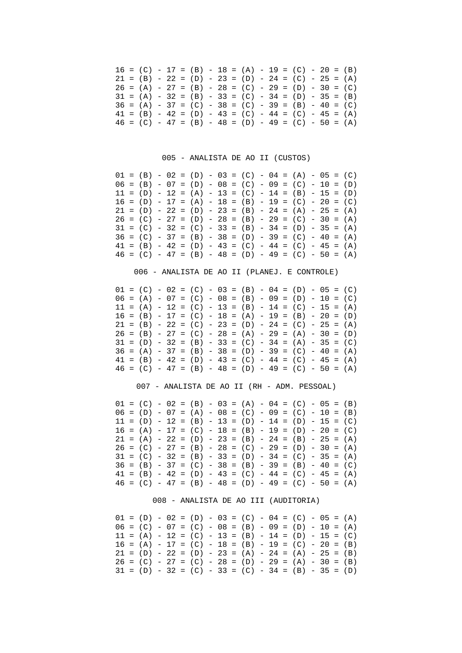|  |  |  | $16 = (C) - 17 = (B) - 18 = (A) - 19 = (C) - 20 = (B)$ |  |  |  |  |  |  |
|--|--|--|--------------------------------------------------------|--|--|--|--|--|--|
|  |  |  | $21 = (B) - 22 = (D) - 23 = (D) - 24 = (C) - 25 = (A)$ |  |  |  |  |  |  |
|  |  |  | $26 = (A) - 27 = (B) - 28 = (C) - 29 = (D) - 30 = (C)$ |  |  |  |  |  |  |
|  |  |  | $31 = (A) - 32 = (B) - 33 = (C) - 34 = (D) - 35 = (B)$ |  |  |  |  |  |  |
|  |  |  | $36 = (A) - 37 = (C) - 38 = (C) - 39 = (B) - 40 = (C)$ |  |  |  |  |  |  |
|  |  |  | $41 = (B) - 42 = (D) - 43 = (C) - 44 = (C) - 45 = (A)$ |  |  |  |  |  |  |
|  |  |  | $46 = (C) - 47 = (B) - 48 = (D) - 49 = (C) - 50 = (A)$ |  |  |  |  |  |  |

005 - ANALISTA DE AO II (CUSTOS)

|  | $01 = (B) - 02 = (D) - 03 = (C) - 04 = (A) - 05 = (C)$ |  |  |  |  |  |  |  |  |
|--|--------------------------------------------------------|--|--|--|--|--|--|--|--|
|  | $06 = (B) - 07 = (D) - 08 = (C) - 09 = (C) - 10 = (D)$ |  |  |  |  |  |  |  |  |
|  | $11 = (D) - 12 = (A) - 13 = (C) - 14 = (B) - 15 = (D)$ |  |  |  |  |  |  |  |  |
|  | $16 = (D) - 17 = (A) - 18 = (B) - 19 = (C) - 20 = (C)$ |  |  |  |  |  |  |  |  |
|  | $21 = (D) - 22 = (D) - 23 = (B) - 24 = (A) - 25 = (A)$ |  |  |  |  |  |  |  |  |
|  | $26 = (C) - 27 = (D) - 28 = (B) - 29 = (C) - 30 = (A)$ |  |  |  |  |  |  |  |  |
|  | $31 = (C) - 32 = (C) - 33 = (B) - 34 = (D) - 35 = (A)$ |  |  |  |  |  |  |  |  |
|  | $36 = (C) - 37 = (B) - 38 = (D) - 39 = (C) - 40 = (A)$ |  |  |  |  |  |  |  |  |
|  | $41 = (B) - 42 = (D) - 43 = (C) - 44 = (C) - 45 = (A)$ |  |  |  |  |  |  |  |  |
|  | $46 = (C) - 47 = (B) - 48 = (D) - 49 = (C) - 50 = (A)$ |  |  |  |  |  |  |  |  |

## 006 - ANALISTA DE AO II (PLANEJ. E CONTROLE)

|  | $01 = (C) - 02 = (C) - 03 = (B) - 04 = (D) - 05 = (C)$ |  |  |  |  |  |  |  |  |
|--|--------------------------------------------------------|--|--|--|--|--|--|--|--|
|  | $06 = (A) - 07 = (C) - 08 = (B) - 09 = (D) - 10 = (C)$ |  |  |  |  |  |  |  |  |
|  | $11 = (A) - 12 = (C) - 13 = (B) - 14 = (C) - 15 = (A)$ |  |  |  |  |  |  |  |  |
|  | $16 = (B) - 17 = (C) - 18 = (A) - 19 = (B) - 20 = (D)$ |  |  |  |  |  |  |  |  |
|  | $21 = (B) - 22 = (C) - 23 = (D) - 24 = (C) - 25 = (A)$ |  |  |  |  |  |  |  |  |
|  | $26 = (B) - 27 = (C) - 28 = (A) - 29 = (A) - 30 = (D)$ |  |  |  |  |  |  |  |  |
|  | $31 = (D) - 32 = (B) - 33 = (C) - 34 = (A) - 35 = (C)$ |  |  |  |  |  |  |  |  |
|  | $36 = (A) - 37 = (B) - 38 = (D) - 39 = (C) - 40 = (A)$ |  |  |  |  |  |  |  |  |
|  | $41 = (B) - 42 = (D) - 43 = (C) - 44 = (C) - 45 = (A)$ |  |  |  |  |  |  |  |  |
|  | $46 = (C) - 47 = (B) - 48 = (D) - 49 = (C) - 50 = (A)$ |  |  |  |  |  |  |  |  |

# 007 - ANALISTA DE AO II (RH - ADM. PESSOAL)

| $01 = (C) - 02 = (B) - 03 = (A) - 04 = (C) - 05 = (B)$ |  |  |  |  |  |  |  |  |  |
|--------------------------------------------------------|--|--|--|--|--|--|--|--|--|
| $06 = (D) - 07 = (A) - 08 = (C) - 09 = (C) - 10 = (B)$ |  |  |  |  |  |  |  |  |  |
| $11 = (D) - 12 = (B) - 13 = (D) - 14 = (D) - 15 = (C)$ |  |  |  |  |  |  |  |  |  |
| $16 = (A) - 17 = (C) - 18 = (B) - 19 = (D) - 20 = (C)$ |  |  |  |  |  |  |  |  |  |
| $21 = (A) - 22 = (D) - 23 = (B) - 24 = (B) - 25 = (A)$ |  |  |  |  |  |  |  |  |  |
| $26 = (C) - 27 = (B) - 28 = (C) - 29 = (D) - 30 = (A)$ |  |  |  |  |  |  |  |  |  |
| $31 = (C) - 32 = (B) - 33 = (D) - 34 = (C) - 35 = (A)$ |  |  |  |  |  |  |  |  |  |
| $36 = (B) - 37 = (C) - 38 = (B) - 39 = (B) - 40 = (C)$ |  |  |  |  |  |  |  |  |  |
| $41 = (B) - 42 = (D) - 43 = (C) - 44 = (C) - 45 = (A)$ |  |  |  |  |  |  |  |  |  |
| $46 = (C) - 47 = (B) - 48 = (D) - 49 = (C) - 50 = (A)$ |  |  |  |  |  |  |  |  |  |

## 008 - ANALISTA DE AO III (AUDITORIA)

| $01 = (D) - 02 = (D) - 03 = (C) - 04 = (C) - 05 = (A)$ |  |  |  |  |  |  |  |  |
|--------------------------------------------------------|--|--|--|--|--|--|--|--|
| $06 = (C) - 07 = (C) - 08 = (B) - 09 = (D) - 10 = (A)$ |  |  |  |  |  |  |  |  |
| $11 = (A) - 12 = (C) - 13 = (B) - 14 = (D) - 15 = (C)$ |  |  |  |  |  |  |  |  |
| $16 = (A) - 17 = (C) - 18 = (B) - 19 = (C) - 20 = (B)$ |  |  |  |  |  |  |  |  |
| $21 = (D) - 22 = (D) - 23 = (A) - 24 = (A) - 25 = (B)$ |  |  |  |  |  |  |  |  |
| $26 = (C) - 27 = (C) - 28 = (D) - 29 = (A) - 30 = (B)$ |  |  |  |  |  |  |  |  |
| $31 = (D) - 32 = (C) - 33 = (C) - 34 = (B) - 35 = (D)$ |  |  |  |  |  |  |  |  |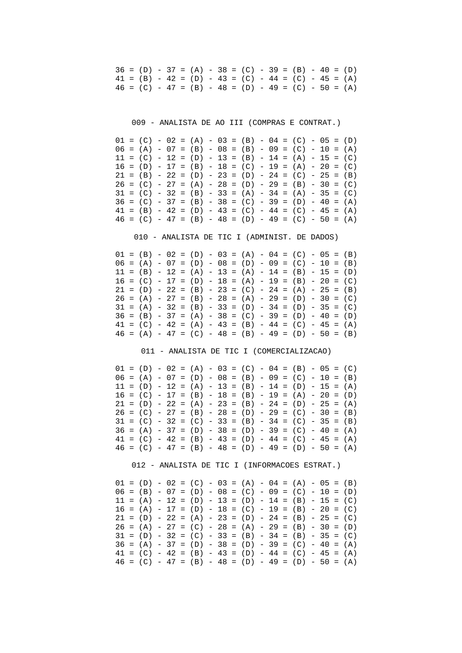$36 = (D) - 37 = (A) - 38 = (C) - 39 = (B) - 40 = (D)$  $41 = (B) - 42 = (D) - 43 = (C) - 44 = (C) - 45 = (A)$  $46 = (C) - 47 = (B) - 48 = (D) - 49 = (C) - 50 = (A)$ 

009 - ANALISTA DE AO III (COMPRAS E CONTRAT.)

 $01 = (C) - 02 = (A) - 03 = (B) - 04 = (C) - 05 = (D)$  $06 = (A) - 07 = (B) - 08 = (B) - 09 = (C) - 10 = (A)$  $11 = (C) - 12 = (D) - 13 = (B) - 14 = (A) - 15 = (C)$  $16 = (D) - 17 = (B) - 18 = (C) - 19 = (A) - 20 = (C)$  $21 = (B) - 22 = (D) - 23 = (D) - 24 = (C) - 25 = (B)$  $26 = (C) - 27 = (A) - 28 = (D) - 29 = (B) - 30 = (C)$  $31 = (C) - 32 = (B) - 33 = (A) - 34 = (A) - 35 = (C)$  $36 = (C) - 37 = (B) - 38 = (C) - 39 = (D) - 40 = (A)$  $41 = (B) - 42 = (D) - 43 = (C) - 44 = (C) - 45 = (A)$  $46 = (C) - 47 = (B) - 48 = (D) - 49 = (C) - 50 = (A)$ 

010 - ANALISTA DE TIC I (ADMINIST. DE DADOS)

 $01 = (B) - 02 = (D) - 03 = (A) - 04 = (C) - 05 = (B)$  $06 = (A) - 07 = (D) - 08 = (D) - 09 = (C) - 10 = (B)$  $11 = (B) - 12 = (A) - 13 = (A) - 14 = (B) - 15 = (D)$  $16 = (C) - 17 = (D) - 18 = (A) - 19 = (B) - 20 = (C)$  $21 = (D) - 22 = (B) - 23 = (C) - 24 = (A) - 25 = (B)$  $26 = (A) - 27 = (B) - 28 = (A) - 29 = (D) - 30 = (C)$  $31 = (A) - 32 = (B) - 33 = (D) - 34 = (D) - 35 = (C)$  $36 = (B) - 37 = (A) - 38 = (C) - 39 = (D) - 40 = (D)$  $41 = (C) - 42 = (A) - 43 = (B) - 44 = (C) - 45 = (A)$  $46 = (A) - 47 = (C) - 48 = (B) - 49 = (D) - 50 = (B)$ 

011 - ANALISTA DE TIC I (COMERCIALIZACAO)

 $01 = (D) - 02 = (A) - 03 = (C) - 04 = (B) - 05 = (C)$  $06 = (A) - 07 = (D) - 08 = (B) - 09 = (C) - 10 = (B)$  $11 = (D) - 12 = (A) - 13 = (B) - 14 = (D) - 15 = (A)$  $16 = (C) - 17 = (B) - 18 = (B) - 19 = (A) - 20 = (D)$  $21 = (D) - 22 = (A) - 23 = (B) - 24 = (D) - 25 = (A)$  $26 = (C) - 27 = (B) - 28 = (D) - 29 = (C) - 30 = (B)$  $31 = (C) - 32 = (C) - 33 = (B) - 34 = (C) - 35 = (B)$  $36 = (A) - 37 = (D) - 38 = (D) - 39 = (C) - 40 = (A)$  $41 = (C) - 42 = (B) - 43 = (D) - 44 = (C) - 45 = (A)$  $46 = (C) - 47 = (B) - 48 = (D) - 49 = (D) - 50 = (A)$ 

012 - ANALISTA DE TIC I (INFORMACOES ESTRAT.)

 $01 = (D) - 02 = (C) - 03 = (A) - 04 = (A) - 05 = (B)$  $06 = (B) - 07 = (D) - 08 = (C) - 09 = (C) - 10 = (D)$  $11 = (A) - 12 = (D) - 13 = (D) - 14 = (B) - 15 = (C)$  $16 = (A) - 17 = (D) - 18 = (C) - 19 = (B) - 20 = (C)$  $21 = (D) - 22 = (A) - 23 = (D) - 24 = (B) - 25 = (C)$  $26 = (A) - 27 = (C) - 28 = (A) - 29 = (B) - 30 = (D)$  $31 = (D) - 32 = (C) - 33 = (B) - 34 = (B) - 35 = (C)$  $36 = (A) - 37 = (D) - 38 = (D) - 39 = (C) - 40 = (A)$  $41 = (C) - 42 = (B) - 43 = (D) - 44 = (C) - 45 = (A)$  $46 = (C) - 47 = (B) - 48 = (D) - 49 = (D) - 50 = (A)$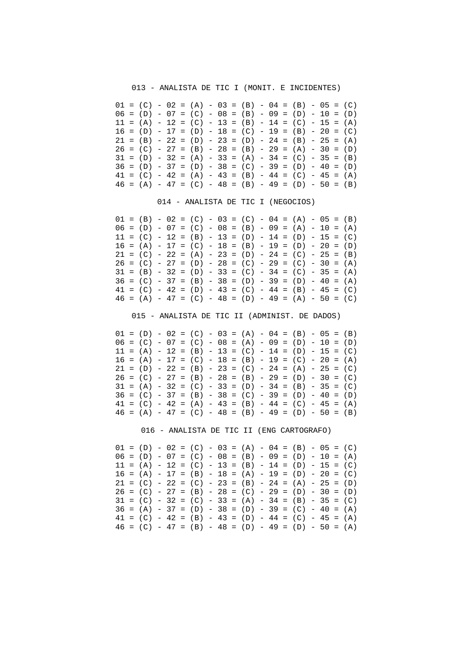013 - ANALISTA DE TIC I (MONIT. E INCIDENTES)

|  |  |  |  |  |  |  | $01 = (C) - 02 = (A) - 03 = (B) - 04 = (B) - 05 = (C)$ |  |  |
|--|--|--|--|--|--|--|--------------------------------------------------------|--|--|
|  |  |  |  |  |  |  | $06 = (D) - 07 = (C) - 08 = (B) - 09 = (D) - 10 = (D)$ |  |  |
|  |  |  |  |  |  |  | $11 = (A) - 12 = (C) - 13 = (B) - 14 = (C) - 15 = (A)$ |  |  |
|  |  |  |  |  |  |  | $16 = (D) - 17 = (D) - 18 = (C) - 19 = (B) - 20 = (C)$ |  |  |
|  |  |  |  |  |  |  | $21 = (B) - 22 = (D) - 23 = (D) - 24 = (B) - 25 = (A)$ |  |  |
|  |  |  |  |  |  |  | $26 = (C) - 27 = (B) - 28 = (B) - 29 = (A) - 30 = (D)$ |  |  |
|  |  |  |  |  |  |  | $31 = (D) - 32 = (A) - 33 = (A) - 34 = (C) - 35 = (B)$ |  |  |
|  |  |  |  |  |  |  | $36 = (D) - 37 = (D) - 38 = (C) - 39 = (D) - 40 = (D)$ |  |  |
|  |  |  |  |  |  |  | $41 = (C) - 42 = (A) - 43 = (B) - 44 = (C) - 45 = (A)$ |  |  |
|  |  |  |  |  |  |  | $46 = (A) - 47 = (C) - 48 = (B) - 49 = (D) - 50 = (B)$ |  |  |

014 - ANALISTA DE TIC I (NEGOCIOS)

 $01 = (B) - 02 = (C) - 03 = (C) - 04 = (A) - 05 = (B)$  $06 = (D) - 07 = (C) - 08 = (B) - 09 = (A) - 10 = (A)$  $11 = (C) - 12 = (B) - 13 = (D) - 14 = (D) - 15 = (C)$  $16 = (A) - 17 = (C) - 18 = (B) - 19 = (D) - 20 = (D)$  $21 = (C) - 22 = (A) - 23 = (D) - 24 = (C) - 25 = (B)$  $26 = (C) - 27 = (D) - 28 = (C) - 29 = (C) - 30 = (A)$  $31 = (B) - 32 = (D) - 33 = (C) - 34 = (C) - 35 = (A)$  $36 = (C) - 37 = (B) - 38 = (D) - 39 = (D) - 40 = (A)$  $41 = (C) - 42 = (D) - 43 = (C) - 44 = (B) - 45 = (C)$  $46 = (A) - 47 = (C) - 48 = (D) - 49 = (A) - 50 = (C)$ 

015 - ANALISTA DE TIC II (ADMINIST. DE DADOS)

 $01 = (D) - 02 = (C) - 03 = (A) - 04 = (B) - 05 = (B)$  $06 = (C) - 07 = (C) - 08 = (A) - 09 = (D) - 10 = (D)$  $11 = (A) - 12 = (B) - 13 = (C) - 14 = (D) - 15 = (C)$  $16 = (A) - 17 = (C) - 18 = (B) - 19 = (C) - 20 = (A)$  $21 = (D) - 22 = (B) - 23 = (C) - 24 = (A) - 25 = (C)$  $26 = (C) - 27 = (B) - 28 = (B) - 29 = (D) - 30 = (C)$  $31 = (A) - 32 = (C) - 33 = (D) - 34 = (B) - 35 = (C)$  $36 = (C) - 37 = (B) - 38 = (C) - 39 = (D) - 40 = (D)$  $41 = (C) - 42 = (A) - 43 = (B) - 44 = (C) - 45 = (A)$  $46 = (A) - 47 = (C) - 48 = (B) - 49 = (D) - 50 = (B)$ 

016 - ANALISTA DE TIC II (ENG CARTOGRAFO)

|  |  |  | $01 = (D) - 02 = (C) - 03 = (A) - 04 = (B) - 05 = (C)$ |  |  |  |  |  |  |
|--|--|--|--------------------------------------------------------|--|--|--|--|--|--|
|  |  |  | $06 = (D) - 07 = (C) - 08 = (B) - 09 = (D) - 10 = (A)$ |  |  |  |  |  |  |
|  |  |  | $11 = (A) - 12 = (C) - 13 = (B) - 14 = (D) - 15 = (C)$ |  |  |  |  |  |  |
|  |  |  | $16 = (A) - 17 = (B) - 18 = (A) - 19 = (D) - 20 = (C)$ |  |  |  |  |  |  |
|  |  |  | $21 = (C) - 22 = (C) - 23 = (B) - 24 = (A) - 25 = (D)$ |  |  |  |  |  |  |
|  |  |  | $26 = (C) - 27 = (B) - 28 = (C) - 29 = (D) - 30 = (D)$ |  |  |  |  |  |  |
|  |  |  | $31 = (C) - 32 = (C) - 33 = (A) - 34 = (B) - 35 = (C)$ |  |  |  |  |  |  |
|  |  |  | $36 = (A) - 37 = (D) - 38 = (D) - 39 = (C) - 40 = (A)$ |  |  |  |  |  |  |
|  |  |  | $41 = (C) - 42 = (B) - 43 = (D) - 44 = (C) - 45 = (A)$ |  |  |  |  |  |  |
|  |  |  | $46 = (C) - 47 = (B) - 48 = (D) - 49 = (D) - 50 = (A)$ |  |  |  |  |  |  |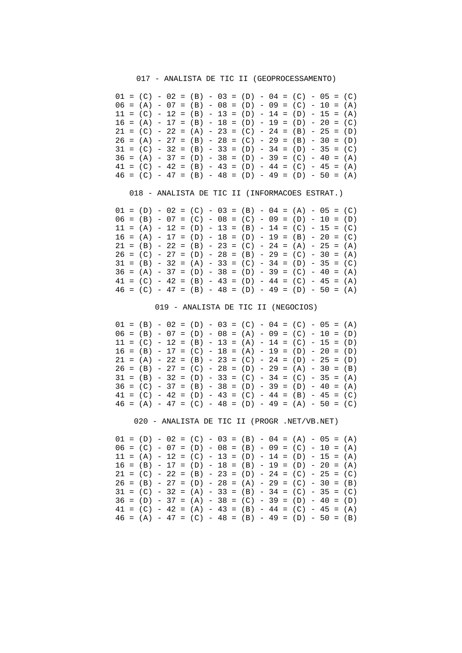#### 017 - ANALISTA DE TIC II (GEOPROCESSAMENTO)

|  |  |  |  |  | $01 = (C) - 02 = (B) - 03 = (D) - 04 = (C) - 05 = (C)$ |  |  |  |  |
|--|--|--|--|--|--------------------------------------------------------|--|--|--|--|
|  |  |  |  |  | $06 = (A) - 07 = (B) - 08 = (D) - 09 = (C) - 10 = (A)$ |  |  |  |  |
|  |  |  |  |  | $11 = (C) - 12 = (B) - 13 = (D) - 14 = (D) - 15 = (A)$ |  |  |  |  |
|  |  |  |  |  | $16 = (A) - 17 = (B) - 18 = (D) - 19 = (D) - 20 = (C)$ |  |  |  |  |
|  |  |  |  |  | $21 = (C) - 22 = (A) - 23 = (C) - 24 = (B) - 25 = (D)$ |  |  |  |  |
|  |  |  |  |  | $26 = (A) - 27 = (B) - 28 = (C) - 29 = (B) - 30 = (D)$ |  |  |  |  |
|  |  |  |  |  | $31 = (C) - 32 = (B) - 33 = (D) - 34 = (D) - 35 = (C)$ |  |  |  |  |
|  |  |  |  |  | $36 = (A) - 37 = (D) - 38 = (D) - 39 = (C) - 40 = (A)$ |  |  |  |  |
|  |  |  |  |  | $41 = (C) - 42 = (B) - 43 = (D) - 44 = (C) - 45 = (A)$ |  |  |  |  |
|  |  |  |  |  | $46 = (C) - 47 = (B) - 48 = (D) - 49 = (D) - 50 = (A)$ |  |  |  |  |

018 - ANALISTA DE TIC II (INFORMACOES ESTRAT.)

 $01 = (D) - 02 = (C) - 03 = (B) - 04 = (A) - 05 = (C)$  $06 = (B) - 07 = (C) - 08 = (C) - 09 = (D) - 10 = (D)$  $11 = (A) - 12 = (D) - 13 = (B) - 14 = (C) - 15 = (C)$  $16 = (A) - 17 = (D) - 18 = (D) - 19 = (B) - 20 = (C)$  $21 = (B) - 22 = (B) - 23 = (C) - 24 = (A) - 25 = (A)$  $26 = (C) - 27 = (D) - 28 = (B) - 29 = (C) - 30 = (A)$  $31 = (B) - 32 = (A) - 33 = (C) - 34 = (D) - 35 = (C)$  $36 = (A) - 37 = (D) - 38 = (D) - 39 = (C) - 40 = (A)$  $41 = (C) - 42 = (B) - 43 = (D) - 44 = (C) - 45 = (A)$  $46 = (C) - 47 = (B) - 48 = (D) - 49 = (D) - 50 = (A)$ 

019 - ANALISTA DE TIC II (NEGOCIOS)

 $01 = (B) - 02 = (D) - 03 = (C) - 04 = (C) - 05 = (A)$  $06 = (B) - 07 = (D) - 08 = (A) - 09 = (C) - 10 = (D)$  $11 = (C) - 12 = (B) - 13 = (A) - 14 = (C) - 15 = (D)$  $16 = (B) - 17 = (C) - 18 = (A) - 19 = (D) - 20 = (D)$  $21 = (A) - 22 = (B) - 23 = (C) - 24 = (D) - 25 = (D)$  $26 = (B) - 27 = (C) - 28 = (D) - 29 = (A) - 30 = (B)$  $31 = (B) - 32 = (D) - 33 = (C) - 34 = (C) - 35 = (A)$  $36 = (C) - 37 = (B) - 38 = (D) - 39 = (D) - 40 = (A)$  $41 = (C) - 42 = (D) - 43 = (C) - 44 = (B) - 45 = (C)$  $46 = (A) - 47 = (C) - 48 = (D) - 49 = (A) - 50 = (C)$ 

020 - ANALISTA DE TIC II (PROGR .NET/VB.NET)

 $01 = (D) - 02 = (C) - 03 = (B) - 04 = (A) - 05 = (A)$  $06 = (C) - 07 = (D) - 08 = (B) - 09 = (C) - 10 = (A)$  $11 = (A) - 12 = (C) - 13 = (D) - 14 = (D) - 15 = (A)$  $16 = (B) - 17 = (D) - 18 = (B) - 19 = (D) - 20 = (A)$  $21 = (C) - 22 = (B) - 23 = (D) - 24 = (C) - 25 = (C)$  $26 = (B) - 27 = (D) - 28 = (A) - 29 = (C) - 30 = (B)$  $31 = (C) - 32 = (A) - 33 = (B) - 34 = (C) - 35 = (C)$  $36 = (D) - 37 = (A) - 38 = (C) - 39 = (D) - 40 = (D)$  $41 = (C) - 42 = (A) - 43 = (B) - 44 = (C) - 45 = (A)$  $46 = (A) - 47 = (C) - 48 = (B) - 49 = (D) - 50 = (B)$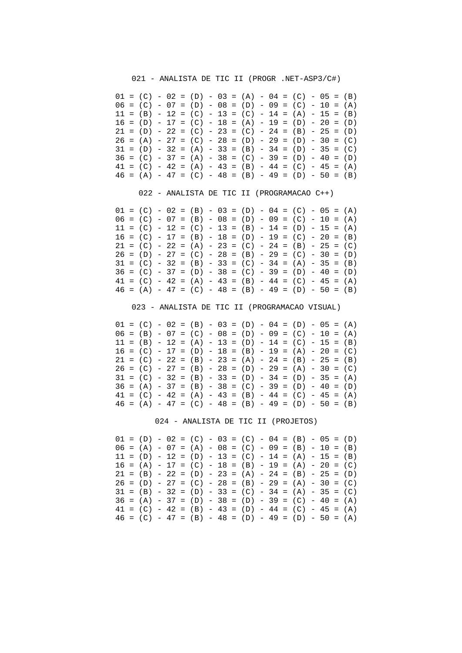021 - ANALISTA DE TIC II (PROGR .NET-ASP3/C#)

|  |  |  |  |  | $01 = (C) - 02 = (D) - 03 = (A) - 04 = (C) - 05 = (B)$ |  |  |  |  |
|--|--|--|--|--|--------------------------------------------------------|--|--|--|--|
|  |  |  |  |  | $06 = (C) - 07 = (D) - 08 = (D) - 09 = (C) - 10 = (A)$ |  |  |  |  |
|  |  |  |  |  | $11 = (B) - 12 = (C) - 13 = (C) - 14 = (A) - 15 = (B)$ |  |  |  |  |
|  |  |  |  |  | $16 = (D) - 17 = (C) - 18 = (A) - 19 = (D) - 20 = (D)$ |  |  |  |  |
|  |  |  |  |  | $21 = (D) - 22 = (C) - 23 = (C) - 24 = (B) - 25 = (D)$ |  |  |  |  |
|  |  |  |  |  | $26 = (A) - 27 = (C) - 28 = (D) - 29 = (D) - 30 = (C)$ |  |  |  |  |
|  |  |  |  |  | $31 = (D) - 32 = (A) - 33 = (B) - 34 = (D) - 35 = (C)$ |  |  |  |  |
|  |  |  |  |  | $36 = (C) - 37 = (A) - 38 = (C) - 39 = (D) - 40 = (D)$ |  |  |  |  |
|  |  |  |  |  | $41 = (C) - 42 = (A) - 43 = (B) - 44 = (C) - 45 = (A)$ |  |  |  |  |
|  |  |  |  |  | $46 = (A) - 47 = (C) - 48 = (B) - 49 = (D) - 50 = (B)$ |  |  |  |  |

022 - ANALISTA DE TIC II (PROGRAMACAO C++)

 $01 = (C) - 02 = (B) - 03 = (D) - 04 = (C) - 05 = (A)$  $06 = (C) - 07 = (B) - 08 = (D) - 09 = (C) - 10 = (A)$  $11 = (C) - 12 = (C) - 13 = (B) - 14 = (D) - 15 = (A)$  $16 = (C) - 17 = (B) - 18 = (D) - 19 = (C) - 20 = (B)$  $21 = (C) - 22 = (A) - 23 = (C) - 24 = (B) - 25 = (C)$  $26 = (D) - 27 = (C) - 28 = (B) - 29 = (C) - 30 = (D)$  $31 = (C) - 32 = (B) - 33 = (C) - 34 = (A) - 35 = (B)$  $36 = (C) - 37 = (D) - 38 = (C) - 39 = (D) - 40 = (D)$  $41 = (C) - 42 = (A) - 43 = (B) - 44 = (C) - 45 = (A)$  $46 = (A) - 47 = (C) - 48 = (B) - 49 = (D) - 50 = (B)$ 

023 - ANALISTA DE TIC II (PROGRAMACAO VISUAL)

 $01 = (C) - 02 = (B) - 03 = (D) - 04 = (D) - 05 = (A)$  $06 = (B) - 07 = (C) - 08 = (D) - 09 = (C) - 10 = (A)$  $11 = (B) - 12 = (A) - 13 = (D) - 14 = (C) - 15 = (B)$  $16 = (C) - 17 = (D) - 18 = (B) - 19 = (A) - 20 = (C)$  $21 = (C) - 22 = (B) - 23 = (A) - 24 = (B) - 25 = (B)$  $26 = (C) - 27 = (B) - 28 = (D) - 29 = (A) - 30 = (C)$  $31 = (C) - 32 = (B) - 33 = (D) - 34 = (D) - 35 = (A)$  $36 = (A) - 37 = (B) - 38 = (C) - 39 = (D) - 40 = (D)$  $41 = (C) - 42 = (A) - 43 = (B) - 44 = (C) - 45 = (A)$  $46 = (A) - 47 = (C) - 48 = (B) - 49 = (D) - 50 = (B)$ 

024 - ANALISTA DE TIC II (PROJETOS)

|  | $01 = (D) - 02 = (C) - 03 = (C) - 04 = (B) - 05 = (D)$ |  |  |  |  |  |                                                        |  |  |
|--|--------------------------------------------------------|--|--|--|--|--|--------------------------------------------------------|--|--|
|  | $06 = (A) - 07 = (A) - 08 = (C) - 09 = (B) - 10 = (B)$ |  |  |  |  |  |                                                        |  |  |
|  | $11 = (D) - 12 = (D) - 13 = (C) - 14 = (A) - 15 = (B)$ |  |  |  |  |  |                                                        |  |  |
|  | $16 = (A) - 17 = (C) - 18 = (B) - 19 = (A) - 20 = (C)$ |  |  |  |  |  |                                                        |  |  |
|  | $21 = (B) - 22 = (D) - 23 = (A) - 24 = (B) - 25 = (D)$ |  |  |  |  |  |                                                        |  |  |
|  |                                                        |  |  |  |  |  | $26 = (D) - 27 = (C) - 28 = (B) - 29 = (A) - 30 = (C)$ |  |  |
|  |                                                        |  |  |  |  |  |                                                        |  |  |
|  | $31 = (B) - 32 = (D) - 33 = (C) - 34 = (A) - 35 = (C)$ |  |  |  |  |  |                                                        |  |  |
|  | $36 = (A) - 37 = (D) - 38 = (D) - 39 = (C) - 40 = (A)$ |  |  |  |  |  |                                                        |  |  |
|  | $41 = (C) - 42 = (B) - 43 = (D) - 44 = (C) - 45 = (A)$ |  |  |  |  |  |                                                        |  |  |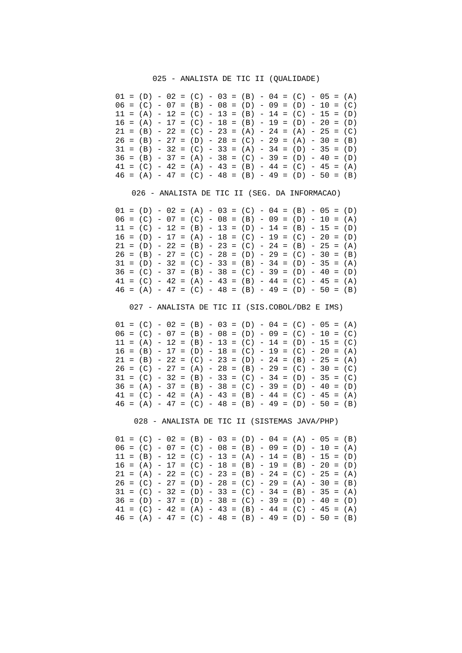#### 025 - ANALISTA DE TIC II (QUALIDADE)

|  |  |  | $01 = (D) - 02 = (C) - 03 = (B) - 04 = (C) - 05 = (A)$ |  |  |  |  |  |  |
|--|--|--|--------------------------------------------------------|--|--|--|--|--|--|
|  |  |  | $06 = (C) - 07 = (B) - 08 = (D) - 09 = (D) - 10 = (C)$ |  |  |  |  |  |  |
|  |  |  | $11 = (A) - 12 = (C) - 13 = (B) - 14 = (C) - 15 = (D)$ |  |  |  |  |  |  |
|  |  |  | $16 = (A) - 17 = (C) - 18 = (B) - 19 = (D) - 20 = (D)$ |  |  |  |  |  |  |
|  |  |  | $21 = (B) - 22 = (C) - 23 = (A) - 24 = (A) - 25 = (C)$ |  |  |  |  |  |  |
|  |  |  | $26 = (B) - 27 = (D) - 28 = (C) - 29 = (A) - 30 = (B)$ |  |  |  |  |  |  |
|  |  |  | $31 = (B) - 32 = (C) - 33 = (A) - 34 = (D) - 35 = (D)$ |  |  |  |  |  |  |
|  |  |  | $36 = (B) - 37 = (A) - 38 = (C) - 39 = (D) - 40 = (D)$ |  |  |  |  |  |  |
|  |  |  | $41 = (C) - 42 = (A) - 43 = (B) - 44 = (C) - 45 = (A)$ |  |  |  |  |  |  |
|  |  |  | $46 = (A) - 47 = (C) - 48 = (B) - 49 = (D) - 50 = (B)$ |  |  |  |  |  |  |

026 - ANALISTA DE TIC II (SEG. DA INFORMACAO)

 $01 = (D) - 02 = (A) - 03 = (C) - 04 = (B) - 05 = (D)$  $06 = (C) - 07 = (C) - 08 = (B) - 09 = (D) - 10 = (A)$  $11 = (C) - 12 = (B) - 13 = (D) - 14 = (B) - 15 = (D)$  $16 = (D) - 17 = (A) - 18 = (C) - 19 = (C) - 20 = (D)$  $21 = (D) - 22 = (B) - 23 = (C) - 24 = (B) - 25 = (A)$  $26 = (B) - 27 = (C) - 28 = (D) - 29 = (C) - 30 = (B)$  $31 = (D) - 32 = (C) - 33 = (B) - 34 = (D) - 35 = (A)$  $36 = (C) - 37 = (B) - 38 = (C) - 39 = (D) - 40 = (D)$  $41 = (C) - 42 = (A) - 43 = (B) - 44 = (C) - 45 = (A)$  $46 = (A) - 47 = (C) - 48 = (B) - 49 = (D) - 50 = (B)$ 

027 - ANALISTA DE TIC II (SIS.COBOL/DB2 E IMS)

 $01 = (C) - 02 = (B) - 03 = (D) - 04 = (C) - 05 = (A)$  $06 = (C) - 07 = (B) - 08 = (D) - 09 = (C) - 10 = (C)$  $11 = (A) - 12 = (B) - 13 = (C) - 14 = (D) - 15 = (C)$  $16 = (B) - 17 = (D) - 18 = (C) - 19 = (C) - 20 = (A)$  $21 = (B) - 22 = (C) - 23 = (D) - 24 = (B) - 25 = (A)$  $26 = (C) - 27 = (A) - 28 = (B) - 29 = (C) - 30 = (C)$  $31 = (C) - 32 = (B) - 33 = (C) - 34 = (D) - 35 = (C)$  $36 = (A) - 37 = (B) - 38 = (C) - 39 = (D) - 40 = (D)$  $41 = (C) - 42 = (A) - 43 = (B) - 44 = (C) - 45 = (A)$  $46 = (A) - 47 = (C) - 48 = (B) - 49 = (D) - 50 = (B)$ 

028 - ANALISTA DE TIC II (SISTEMAS JAVA/PHP)

 $01 = (C) - 02 = (B) - 03 = (D) - 04 = (A) - 05 = (B)$  $06 = (C) - 07 = (C) - 08 = (B) - 09 = (D) - 10 = (A)$  $11 = (B) - 12 = (C) - 13 = (A) - 14 = (B) - 15 = (D)$  $16 = (A) - 17 = (C) - 18 = (B) - 19 = (B) - 20 = (D)$  $21 = (A) - 22 = (C) - 23 = (B) - 24 = (C) - 25 = (A)$  $26 = (C) - 27 = (D) - 28 = (C) - 29 = (A) - 30 = (B)$  $31 = (C) - 32 = (D) - 33 = (C) - 34 = (B) - 35 = (A)$  $36 = (D) - 37 = (D) - 38 = (C) - 39 = (D) - 40 = (D)$  $41 = (C) - 42 = (A) - 43 = (B) - 44 = (C) - 45 = (A)$  $46 = (A) - 47 = (C) - 48 = (B) - 49 = (D) - 50 = (B)$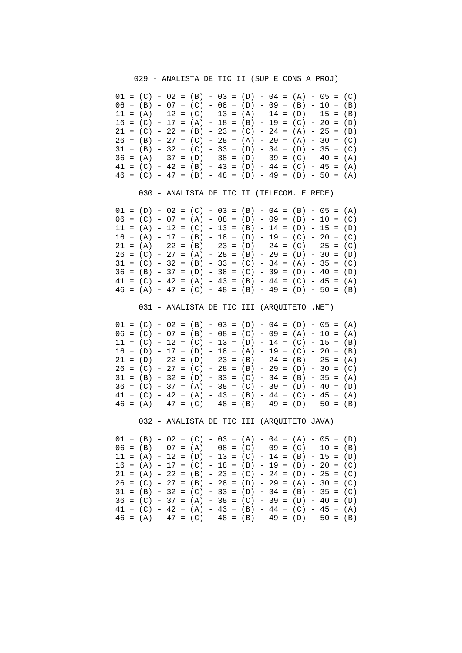029 - ANALISTA DE TIC II (SUP E CONS A PROJ)

|  |  |  | $01 = (C) - 02 = (B) - 03 = (D) - 04 = (A) - 05 = (C)$ |  |  |  |  |  |  |
|--|--|--|--------------------------------------------------------|--|--|--|--|--|--|
|  |  |  | $06 = (B) - 07 = (C) - 08 = (D) - 09 = (B) - 10 = (B)$ |  |  |  |  |  |  |
|  |  |  | $11 = (A) - 12 = (C) - 13 = (A) - 14 = (D) - 15 = (B)$ |  |  |  |  |  |  |
|  |  |  | $16 = (C) - 17 = (A) - 18 = (B) - 19 = (C) - 20 = (D)$ |  |  |  |  |  |  |
|  |  |  | $21 = (C) - 22 = (B) - 23 = (C) - 24 = (A) - 25 = (B)$ |  |  |  |  |  |  |
|  |  |  | $26 = (B) - 27 = (C) - 28 = (A) - 29 = (A) - 30 = (C)$ |  |  |  |  |  |  |
|  |  |  | $31 = (B) - 32 = (C) - 33 = (D) - 34 = (D) - 35 = (C)$ |  |  |  |  |  |  |
|  |  |  | $36 = (A) - 37 = (D) - 38 = (D) - 39 = (C) - 40 = (A)$ |  |  |  |  |  |  |
|  |  |  | $41 = (C) - 42 = (B) - 43 = (D) - 44 = (C) - 45 = (A)$ |  |  |  |  |  |  |
|  |  |  | $46 = (C) - 47 = (B) - 48 = (D) - 49 = (D) - 50 = (A)$ |  |  |  |  |  |  |

030 - ANALISTA DE TIC II (TELECOM. E REDE)

 $01 = (D) - 02 = (C) - 03 = (B) - 04 = (B) - 05 = (A)$  $06 = (C) - 07 = (A) - 08 = (D) - 09 = (B) - 10 = (C)$  $11 = (A) - 12 = (C) - 13 = (B) - 14 = (D) - 15 = (D)$  $16 = (A) - 17 = (B) - 18 = (D) - 19 = (C) - 20 = (C)$  $21 = (A) - 22 = (B) - 23 = (D) - 24 = (C) - 25 = (C)$  $26 = (C) - 27 = (A) - 28 = (B) - 29 = (D) - 30 = (D)$  $31 = (C) - 32 = (B) - 33 = (C) - 34 = (A) - 35 = (C)$  $36 = (B) - 37 = (D) - 38 = (C) - 39 = (D) - 40 = (D)$  $41 = (C) - 42 = (A) - 43 = (B) - 44 = (C) - 45 = (A)$  $46 = (A) - 47 = (C) - 48 = (B) - 49 = (D) - 50 = (B)$ 

031 - ANALISTA DE TIC III (ARQUITETO .NET)

 $01 = (C) - 02 = (B) - 03 = (D) - 04 = (D) - 05 = (A)$  $06 = (C) - 07 = (B) - 08 = (C) - 09 = (A) - 10 = (A)$  $11 = (C) - 12 = (C) - 13 = (D) - 14 = (C) - 15 = (B)$  $16 = (D) - 17 = (D) - 18 = (A) - 19 = (C) - 20 = (B)$  $21 = (D) - 22 = (D) - 23 = (B) - 24 = (B) - 25 = (A)$  $26 = (C) - 27 = (C) - 28 = (B) - 29 = (D) - 30 = (C)$  $31 = (B) - 32 = (D) - 33 = (C) - 34 = (B) - 35 = (A)$  $36 = (C) - 37 = (A) - 38 = (C) - 39 = (D) - 40 = (D)$  $41 = (C) - 42 = (A) - 43 = (B) - 44 = (C) - 45 = (A)$  $46 = (A) - 47 = (C) - 48 = (B) - 49 = (D) - 50 = (B)$ 

032 - ANALISTA DE TIC III (ARQUITETO JAVA)

 $01 = (B) - 02 = (C) - 03 = (A) - 04 = (A) - 05 = (D)$  $06 = (B) - 07 = (A) - 08 = (C) - 09 = (C) - 10 = (B)$  $11 = (A) - 12 = (D) - 13 = (C) - 14 = (B) - 15 = (D)$  $16 = (A) - 17 = (C) - 18 = (B) - 19 = (D) - 20 = (C)$  $21 = (A) - 22 = (B) - 23 = (C) - 24 = (D) - 25 = (C)$  $26 = (C) - 27 = (B) - 28 = (D) - 29 = (A) - 30 = (C)$  $31 = (B) - 32 = (C) - 33 = (D) - 34 = (B) - 35 = (C)$  $36 = (C) - 37 = (A) - 38 = (C) - 39 = (D) - 40 = (D)$  $41 = (C) - 42 = (A) - 43 = (B) - 44 = (C) - 45 = (A)$  $46 = (A) - 47 = (C) - 48 = (B) - 49 = (D) - 50 = (B)$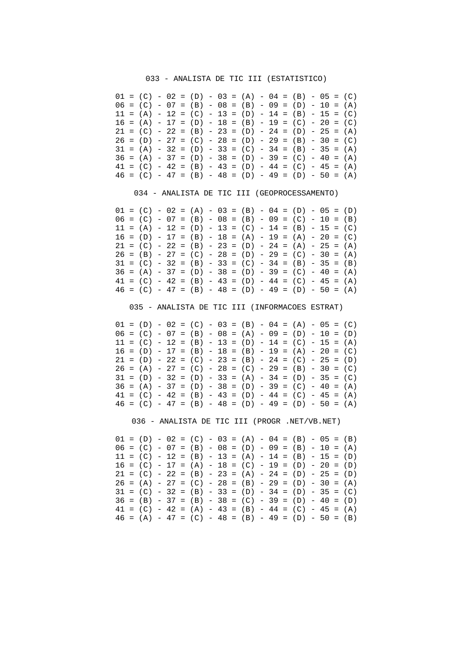### 033 - ANALISTA DE TIC III (ESTATISTICO)

|  |  |  |  |  | $01 = (C) - 02 = (D) - 03 = (A) - 04 = (B) - 05 = (C)$ |  |  |  |  |
|--|--|--|--|--|--------------------------------------------------------|--|--|--|--|
|  |  |  |  |  | $06 = (C) - 07 = (B) - 08 = (B) - 09 = (D) - 10 = (A)$ |  |  |  |  |
|  |  |  |  |  | $11 = (A) - 12 = (C) - 13 = (D) - 14 = (B) - 15 = (C)$ |  |  |  |  |
|  |  |  |  |  | $16 = (A) - 17 = (D) - 18 = (B) - 19 = (C) - 20 = (C)$ |  |  |  |  |
|  |  |  |  |  | $21 = (C) - 22 = (B) - 23 = (D) - 24 = (D) - 25 = (A)$ |  |  |  |  |
|  |  |  |  |  | $26 = (D) - 27 = (C) - 28 = (D) - 29 = (B) - 30 = (C)$ |  |  |  |  |
|  |  |  |  |  | $31 = (A) - 32 = (D) - 33 = (C) - 34 = (B) - 35 = (A)$ |  |  |  |  |
|  |  |  |  |  | $36 = (A) - 37 = (D) - 38 = (D) - 39 = (C) - 40 = (A)$ |  |  |  |  |
|  |  |  |  |  | $41 = (C) - 42 = (B) - 43 = (D) - 44 = (C) - 45 = (A)$ |  |  |  |  |
|  |  |  |  |  | $46 = (C) - 47 = (B) - 48 = (D) - 49 = (D) - 50 = (A)$ |  |  |  |  |

034 - ANALISTA DE TIC III (GEOPROCESSAMENTO)

 $01 = (C) - 02 = (A) - 03 = (B) - 04 = (D) - 05 = (D)$  $06 = (C) - 07 = (B) - 08 = (B) - 09 = (C) - 10 = (B)$  $11 = (A) - 12 = (D) - 13 = (C) - 14 = (B) - 15 = (C)$  $16 = (D) - 17 = (B) - 18 = (A) - 19 = (A) - 20 = (C)$  $21 = (C) - 22 = (B) - 23 = (D) - 24 = (A) - 25 = (A)$  $26 = (B) - 27 = (C) - 28 = (D) - 29 = (C) - 30 = (A)$  $31 = (C) - 32 = (B) - 33 = (C) - 34 = (B) - 35 = (B)$  $36 = (A) - 37 = (D) - 38 = (D) - 39 = (C) - 40 = (A)$  $41 = (C) - 42 = (B) - 43 = (D) - 44 = (C) - 45 = (A)$  $46 = (C) - 47 = (B) - 48 = (D) - 49 = (D) - 50 = (A)$ 

035 - ANALISTA DE TIC III (INFORMACOES ESTRAT)

 $01 = (D) - 02 = (C) - 03 = (B) - 04 = (A) - 05 = (C)$  $06 = (C) - 07 = (B) - 08 = (A) - 09 = (D) - 10 = (D)$  $11 = (C) - 12 = (B) - 13 = (D) - 14 = (C) - 15 = (A)$  $16 = (D) - 17 = (B) - 18 = (B) - 19 = (A) - 20 = (C)$  $21 = (D) - 22 = (C) - 23 = (B) - 24 = (C) - 25 = (D)$  $26 = (A) - 27 = (C) - 28 = (C) - 29 = (B) - 30 = (C)$  $31 = (D) - 32 = (D) - 33 = (A) - 34 = (D) - 35 = (C)$  $36 = (A) - 37 = (D) - 38 = (D) - 39 = (C) - 40 = (A)$  $41 = (C) - 42 = (B) - 43 = (D) - 44 = (C) - 45 = (A)$  $46 = (C) - 47 = (B) - 48 = (D) - 49 = (D) - 50 = (A)$ 

036 - ANALISTA DE TIC III (PROGR .NET/VB.NET)

 $01 = (D) - 02 = (C) - 03 = (A) - 04 = (B) - 05 = (B)$  $06 = (C) - 07 = (B) - 08 = (D) - 09 = (B) - 10 = (A)$  $11 = (C) - 12 = (B) - 13 = (A) - 14 = (B) - 15 = (D)$  $16 = (C) - 17 = (A) - 18 = (C) - 19 = (D) - 20 = (D)$  $21 = (C) - 22 = (B) - 23 = (A) - 24 = (D) - 25 = (D)$  $26 = (A) - 27 = (C) - 28 = (B) - 29 = (D) - 30 = (A)$  $31 = (C) - 32 = (B) - 33 = (D) - 34 = (D) - 35 = (C)$  $36 = (B) - 37 = (B) - 38 = (C) - 39 = (D) - 40 = (D)$  $41 = (C) - 42 = (A) - 43 = (B) - 44 = (C) - 45 = (A)$  $46 = (A) - 47 = (C) - 48 = (B) - 49 = (D) - 50 = (B)$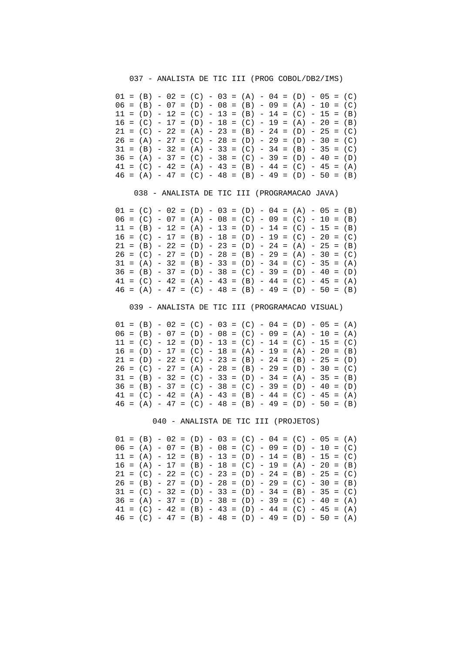037 - ANALISTA DE TIC III (PROG COBOL/DB2/IMS)

 $01 = (B) - 02 = (C) - 03 = (A) - 04 = (D) - 05 = (C)$  $06 = (B) - 07 = (D) - 08 = (B) - 09 = (A) - 10 = (C)$  $11 = (D) - 12 = (C) - 13 = (B) - 14 = (C) - 15 = (B)$  $16 = (C) - 17 = (D) - 18 = (C) - 19 = (A) - 20 = (B)$  $21 = (C) - 22 = (A) - 23 = (B) - 24 = (D) - 25 = (C)$  $26 = (A) - 27 = (C) - 28 = (D) - 29 = (D) - 30 = (C)$  $31 = (B) - 32 = (A) - 33 = (C) - 34 = (B) - 35 = (C)$  $36 = (A) - 37 = (C) - 38 = (C) - 39 = (D) - 40 = (D)$  $41 = (C) - 42 = (A) - 43 = (B) - 44 = (C) - 45 = (A)$  $46 = (A) - 47 = (C) - 48 = (B) - 49 = (D) - 50 = (B)$ 

038 - ANALISTA DE TIC III (PROGRAMACAO JAVA)

 $01 = (C) - 02 = (D) - 03 = (D) - 04 = (A) - 05 = (B)$  $06 = (C) - 07 = (A) - 08 = (C) - 09 = (C) - 10 = (B)$  $11 = (B) - 12 = (A) - 13 = (D) - 14 = (C) - 15 = (B)$  $16 = (C) - 17 = (B) - 18 = (D) - 19 = (C) - 20 = (C)$  $21 = (B) - 22 = (D) - 23 = (D) - 24 = (A) - 25 = (B)$  $26 = (C) - 27 = (D) - 28 = (B) - 29 = (A) - 30 = (C)$  $31 = (A) - 32 = (B) - 33 = (D) - 34 = (C) - 35 = (A)$  $36 = (B) - 37 = (D) - 38 = (C) - 39 = (D) - 40 = (D)$  $41 = (C) - 42 = (A) - 43 = (B) - 44 = (C) - 45 = (A)$  $46 = (A) - 47 = (C) - 48 = (B) - 49 = (D) - 50 = (B)$ 

039 - ANALISTA DE TIC III (PROGRAMACAO VISUAL)

 $01 = (B) - 02 = (C) - 03 = (C) - 04 = (D) - 05 = (A)$  $06 = (B) - 07 = (D) - 08 = (C) - 09 = (A) - 10 = (A)$  $11 = (C) - 12 = (D) - 13 = (C) - 14 = (C) - 15 = (C)$  $16 = (D) - 17 = (C) - 18 = (A) - 19 = (A) - 20 = (B)$  $21 = (D) - 22 = (C) - 23 = (B) - 24 = (B) - 25 = (D)$  $26 = (C) - 27 = (A) - 28 = (B) - 29 = (D) - 30 = (C)$  $31 = (B) - 32 = (C) - 33 = (D) - 34 = (A) - 35 = (B)$  $36 = (B) - 37 = (C) - 38 = (C) - 39 = (D) - 40 = (D)$  $41 = (C) - 42 = (A) - 43 = (B) - 44 = (C) - 45 = (A)$  $46 = (A) - 47 = (C) - 48 = (B) - 49 = (D) - 50 = (B)$ 

040 - ANALISTA DE TIC III (PROJETOS)

 $01 = (B) - 02 = (D) - 03 = (C) - 04 = (C) - 05 = (A)$  $06 = (A) - 07 = (B) - 08 = (C) - 09 = (D) - 10 = (C)$  $11 = (A) - 12 = (B) - 13 = (D) - 14 = (B) - 15 = (C)$  $16 = (A) - 17 = (B) - 18 = (C) - 19 = (A) - 20 = (B)$  $21 = (C) - 22 = (C) - 23 = (D) - 24 = (B) - 25 = (C)$  $26 = (B) - 27 = (D) - 28 = (D) - 29 = (C) - 30 = (B)$  $31 = (C) - 32 = (D) - 33 = (D) - 34 = (B) - 35 = (C)$  $36 = (A) - 37 = (D) - 38 = (D) - 39 = (C) - 40 = (A)$  $41 = (C) - 42 = (B) - 43 = (D) - 44 = (C) - 45 = (A)$  $46 = (C) - 47 = (B) - 48 = (D) - 49 = (D) - 50 = (A)$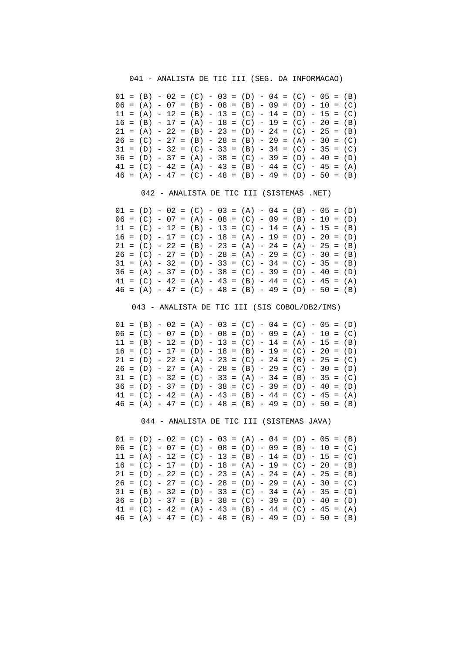041 - ANALISTA DE TIC III (SEG. DA INFORMACAO)

 $01 = (B) - 02 = (C) - 03 = (D) - 04 = (C) - 05 = (B)$  $06 = (A) - 07 = (B) - 08 = (B) - 09 = (D) - 10 = (C)$  $11 = (A) - 12 = (B) - 13 = (C) - 14 = (D) - 15 = (C)$  $16 = (B) - 17 = (A) - 18 = (C) - 19 = (C) - 20 = (B)$  $21 = (A) - 22 = (B) - 23 = (D) - 24 = (C) - 25 = (B)$  $26 = (C) - 27 = (B) - 28 = (B) - 29 = (A) - 30 = (C)$  $31 = (D) - 32 = (C) - 33 = (B) - 34 = (C) - 35 = (C)$  $36 = (D) - 37 = (A) - 38 = (C) - 39 = (D) - 40 = (D)$  $41 = (C) - 42 = (A) - 43 = (B) - 44 = (C) - 45 = (A)$  $46 = (A) - 47 = (C) - 48 = (B) - 49 = (D) - 50 = (B)$ 

042 - ANALISTA DE TIC III (SISTEMAS .NET)

 $01 = (D) - 02 = (C) - 03 = (A) - 04 = (B) - 05 = (D)$  $06 = (C) - 07 = (A) - 08 = (C) - 09 = (B) - 10 = (D)$  $11 = (C) - 12 = (B) - 13 = (C) - 14 = (A) - 15 = (B)$  $16 = (D) - 17 = (C) - 18 = (A) - 19 = (D) - 20 = (D)$  $21 = (C) - 22 = (B) - 23 = (A) - 24 = (A) - 25 = (B)$  $26 = (C) - 27 = (D) - 28 = (A) - 29 = (C) - 30 = (B)$  $31 = (A) - 32 = (D) - 33 = (C) - 34 = (C) - 35 = (B)$  $36 = (A) - 37 = (D) - 38 = (C) - 39 = (D) - 40 = (D)$  $41 = (C) - 42 = (A) - 43 = (B) - 44 = (C) - 45 = (A)$  $46 = (A) - 47 = (C) - 48 = (B) - 49 = (D) - 50 = (B)$ 

043 - ANALISTA DE TIC III (SIS COBOL/DB2/IMS)

 $01 = (B) - 02 = (A) - 03 = (C) - 04 = (C) - 05 = (D)$  $06 = (C) - 07 = (D) - 08 = (D) - 09 = (A) - 10 = (C)$  $11 = (B) - 12 = (D) - 13 = (C) - 14 = (A) - 15 = (B)$  $16 = (C) - 17 = (D) - 18 = (B) - 19 = (C) - 20 = (D)$  $21 = (D) - 22 = (A) - 23 = (C) - 24 = (B) - 25 = (C)$  $26 = (D) - 27 = (A) - 28 = (B) - 29 = (C) - 30 = (D)$  $31 = (C) - 32 = (C) - 33 = (A) - 34 = (B) - 35 = (C)$  $36 = (D) - 37 = (D) - 38 = (C) - 39 = (D) - 40 = (D)$  $41 = (C) - 42 = (A) - 43 = (B) - 44 = (C) - 45 = (A)$  $46 = (A) - 47 = (C) - 48 = (B) - 49 = (D) - 50 = (B)$ 

044 - ANALISTA DE TIC III (SISTEMAS JAVA)

 $01 = (D) - 02 = (C) - 03 = (A) - 04 = (D) - 05 = (B)$  $06 = (C) - 07 = (C) - 08 = (D) - 09 = (B) - 10 = (C)$  $11 = (A) - 12 = (C) - 13 = (B) - 14 = (D) - 15 = (C)$  $16 = (C) - 17 = (D) - 18 = (A) - 19 = (C) - 20 = (B)$  $21 = (D) - 22 = (C) - 23 = (A) - 24 = (A) - 25 = (B)$  $26 = (C) - 27 = (C) - 28 = (D) - 29 = (A) - 30 = (C)$  $31 = (B) - 32 = (D) - 33 = (C) - 34 = (A) - 35 = (D)$  $36 = (D) - 37 = (B) - 38 = (C) - 39 = (D) - 40 = (D)$  $41 = (C) - 42 = (A) - 43 = (B) - 44 = (C) - 45 = (A)$  $46 = (A) - 47 = (C) - 48 = (B) - 49 = (D) - 50 = (B)$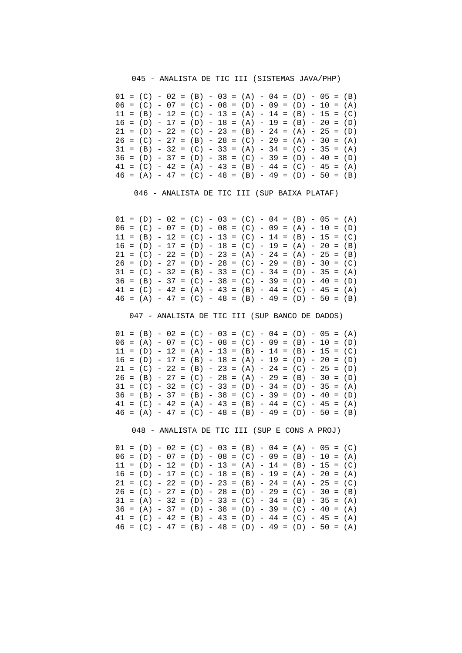#### 045 - ANALISTA DE TIC III (SISTEMAS JAVA/PHP)

 $01 = (C) - 02 = (B) - 03 = (A) - 04 = (D) - 05 = (B)$  $06 = (C) - 07 = (C) - 08 = (D) - 09 = (D) - 10 = (A)$  $11 = (B) - 12 = (C) - 13 = (A) - 14 = (B) - 15 = (C)$  $16 = (D) - 17 = (D) - 18 = (A) - 19 = (B) - 20 = (D)$  $21 = (D) - 22 = (C) - 23 = (B) - 24 = (A) - 25 = (D)$  $26 = (C) - 27 = (B) - 28 = (C) - 29 = (A) - 30 = (A)$  $31 = (B) - 32 = (C) - 33 = (A) - 34 = (C) - 35 = (A)$  $36 = (D) - 37 = (D) - 38 = (C) - 39 = (D) - 40 = (D)$  $41 = (C) - 42 = (A) - 43 = (B) - 44 = (C) - 45 = (A)$  $46 = (A) - 47 = (C) - 48 = (B) - 49 = (D) - 50 = (B)$ 

046 - ANALISTA DE TIC III (SUP BAIXA PLATAF)

 $01 = (D) - 02 = (C) - 03 = (C) - 04 = (B) - 05 = (A)$  $06 = (C) - 07 = (D) - 08 = (C) - 09 = (A) - 10 = (D)$  $11 = (B) - 12 = (C) - 13 = (C) - 14 = (B) - 15 = (C)$  $16 = (D) - 17 = (D) - 18 = (C) - 19 = (A) - 20 = (B)$  $21 = (C) - 22 = (D) - 23 = (A) - 24 = (A) - 25 = (B)$  $26 = (D) - 27 = (D) - 28 = (C) - 29 = (B) - 30 = (C)$  $31 = (C) - 32 = (B) - 33 = (C) - 34 = (D) - 35 = (A)$  $36 = (B) - 37 = (C) - 38 = (C) - 39 = (D) - 40 = (D)$  $41 = (C) - 42 = (A) - 43 = (B) - 44 = (C) - 45 = (A)$  $46 = (A) - 47 = (C) - 48 = (B) - 49 = (D) - 50 = (B)$ 

047 - ANALISTA DE TIC III (SUP BANCO DE DADOS)

 $01 = (B) - 02 = (C) - 03 = (C) - 04 = (D) - 05 = (A)$  $06 = (A) - 07 = (C) - 08 = (C) - 09 = (B) - 10 = (D)$  $11 = (D) - 12 = (A) - 13 = (B) - 14 = (B) - 15 = (C)$  $16 = (D) - 17 = (B) - 18 = (A) - 19 = (D) - 20 = (D)$  $21 = (C) - 22 = (B) - 23 = (A) - 24 = (C) - 25 = (D)$  $26 = (B) - 27 = (C) - 28 = (A) - 29 = (B) - 30 = (D)$  $31 = (C) - 32 = (C) - 33 = (D) - 34 = (D) - 35 = (A)$  $36 = (B) - 37 = (B) - 38 = (C) - 39 = (D) - 40 = (D)$  $41 = (C) - 42 = (A) - 43 = (B) - 44 = (C) - 45 = (A)$  $46 = (A) - 47 = (C) - 48 = (B) - 49 = (D) - 50 = (B)$ 

048 - ANALISTA DE TIC III (SUP E CONS A PROJ)

 $01 = (D) - 02 = (C) - 03 = (B) - 04 = (A) - 05 = (C)$  $06 = (D) - 07 = (D) - 08 = (C) - 09 = (B) - 10 = (A)$  $11 = (D) - 12 = (D) - 13 = (A) - 14 = (B) - 15 = (C)$  $16 = (D) - 17 = (C) - 18 = (B) - 19 = (A) - 20 = (A)$  $21 = (C) - 22 = (D) - 23 = (B) - 24 = (A) - 25 = (C)$  $26 = (C) - 27 = (D) - 28 = (D) - 29 = (C) - 30 = (B)$  $31 = (A) - 32 = (D) - 33 = (C) - 34 = (B) - 35 = (A)$  $36 = (A) - 37 = (D) - 38 = (D) - 39 = (C) - 40 = (A)$  $41 = (C) - 42 = (B) - 43 = (D) - 44 = (C) - 45 = (A)$  $46 = (C) - 47 = (B) - 48 = (D) - 49 = (D) - 50 = (A)$